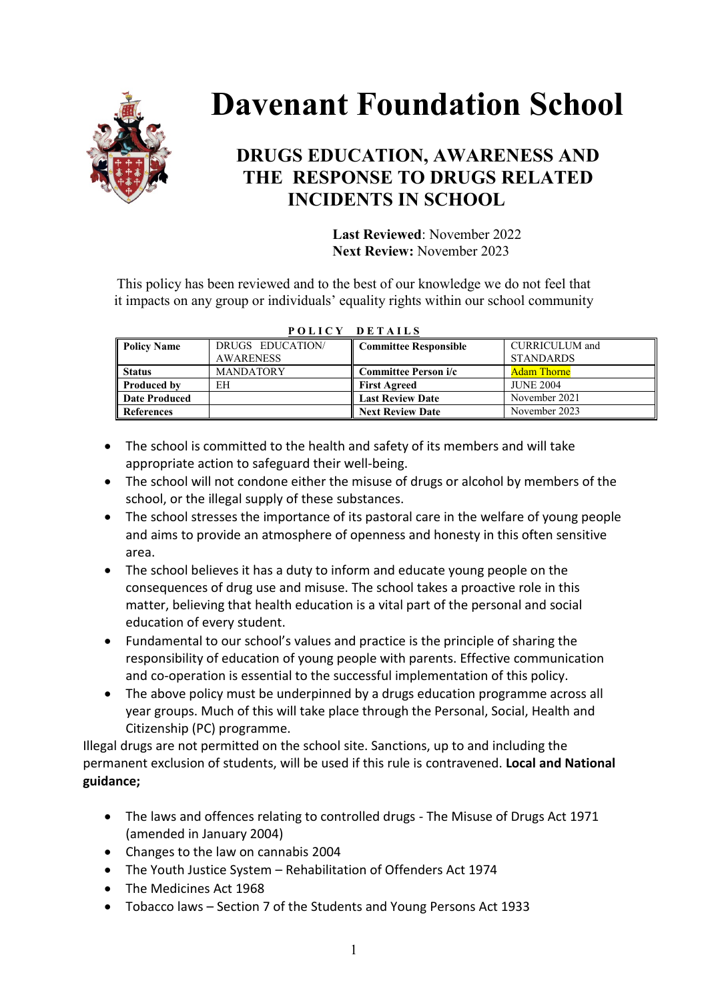

# **Davenant Foundation School**

# **DRUGS EDUCATION, AWARENESS AND THE RESPONSE TO DRUGS RELATED INCIDENTS IN SCHOOL**

 **Last Reviewed**: November 2022  **Next Review:** November 2023

This policy has been reviewed and to the best of our knowledge we do not feel that it impacts on any group or individuals' equality rights within our school community

| <b>Policy Name</b> | DRUGS EDUCATION/ | Committee Responsible   | <b>CURRICULUM</b> and |  |  |  |  |  |  |  |  |
|--------------------|------------------|-------------------------|-----------------------|--|--|--|--|--|--|--|--|
|                    | <b>AWARENESS</b> |                         | <b>STANDARDS</b>      |  |  |  |  |  |  |  |  |
| <b>Status</b>      | <b>MANDATORY</b> | Committee Person i/c    | <b>Adam Thorne</b>    |  |  |  |  |  |  |  |  |
| <b>Produced by</b> | EH               | <b>First Agreed</b>     | <b>JUNE 2004</b>      |  |  |  |  |  |  |  |  |
| Date Produced      |                  | <b>Last Review Date</b> | November 2021         |  |  |  |  |  |  |  |  |
| <b>References</b>  |                  | <b>Next Review Date</b> | November 2023         |  |  |  |  |  |  |  |  |

|  |  | POLICY DETAILS |  |  |  |  |  |
|--|--|----------------|--|--|--|--|--|
|  |  |                |  |  |  |  |  |

- The school is committed to the health and safety of its members and will take appropriate action to safeguard their well-being.
- The school will not condone either the misuse of drugs or alcohol by members of the school, or the illegal supply of these substances.
- The school stresses the importance of its pastoral care in the welfare of young people and aims to provide an atmosphere of openness and honesty in this often sensitive area.
- The school believes it has a duty to inform and educate young people on the consequences of drug use and misuse. The school takes a proactive role in this matter, believing that health education is a vital part of the personal and social education of every student.
- Fundamental to our school's values and practice is the principle of sharing the responsibility of education of young people with parents. Effective communication and co-operation is essential to the successful implementation of this policy.
- The above policy must be underpinned by a drugs education programme across all year groups. Much of this will take place through the Personal, Social, Health and Citizenship (PC) programme.

Illegal drugs are not permitted on the school site. Sanctions, up to and including the permanent exclusion of students, will be used if this rule is contravened. **Local and National guidance;**

- The laws and offences relating to controlled drugs The Misuse of Drugs Act 1971 (amended in January 2004)
- Changes to the law on cannabis 2004
- The Youth Justice System Rehabilitation of Offenders Act 1974
- The Medicines Act 1968
- Tobacco laws Section 7 of the Students and Young Persons Act 1933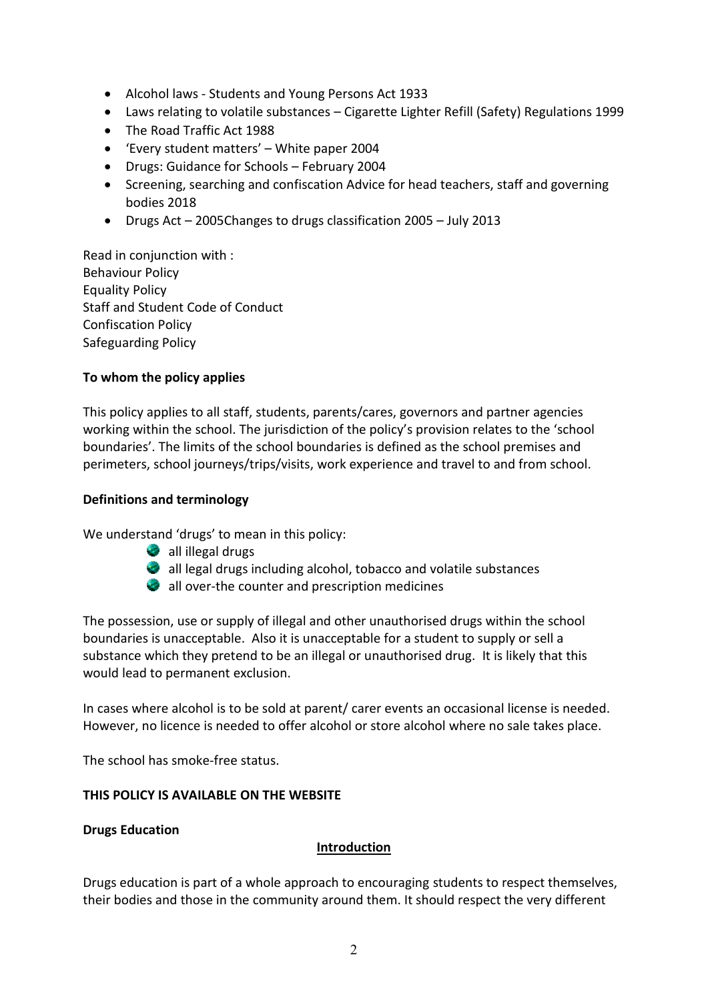- Alcohol laws Students and Young Persons Act 1933
- Laws relating to volatile substances Cigarette Lighter Refill (Safety) Regulations 1999
- The Road Traffic Act 1988
- 'Every student matters' White paper 2004
- Drugs: Guidance for Schools February 2004
- Screening, searching and confiscation Advice for head teachers, staff and governing bodies 2018
- Drugs Act 2005Changes to drugs classification 2005 July 2013

Read in conjunction with : Behaviour Policy Equality Policy Staff and Student Code of Conduct Confiscation Policy Safeguarding Policy

#### **To whom the policy applies**

This policy applies to all staff, students, parents/cares, governors and partner agencies working within the school. The jurisdiction of the policy's provision relates to the 'school boundaries'. The limits of the school boundaries is defined as the school premises and perimeters, school journeys/trips/visits, work experience and travel to and from school.

#### **Definitions and terminology**

We understand 'drugs' to mean in this policy:

- all illegal drugs
- all legal drugs including alcohol, tobacco and volatile substances
- all over-the counter and prescription medicines

The possession, use or supply of illegal and other unauthorised drugs within the school boundaries is unacceptable. Also it is unacceptable for a student to supply or sell a substance which they pretend to be an illegal or unauthorised drug. It is likely that this would lead to permanent exclusion.

In cases where alcohol is to be sold at parent/ carer events an occasional license is needed. However, no licence is needed to offer alcohol or store alcohol where no sale takes place.

The school has smoke-free status.

#### **THIS POLICY IS AVAILABLE ON THE WEBSITE**

#### **Drugs Education**

## **Introduction**

Drugs education is part of a whole approach to encouraging students to respect themselves, their bodies and those in the community around them. It should respect the very different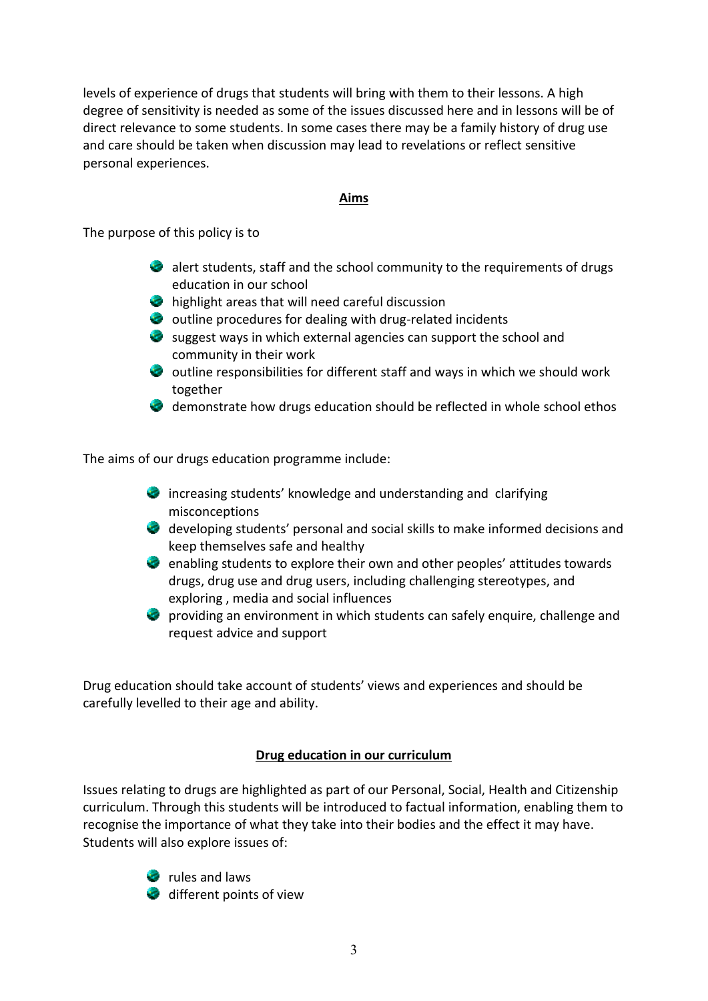levels of experience of drugs that students will bring with them to their lessons. A high degree of sensitivity is needed as some of the issues discussed here and in lessons will be of direct relevance to some students. In some cases there may be a family history of drug use and care should be taken when discussion may lead to revelations or reflect sensitive personal experiences.

#### **Aims**

The purpose of this policy is to

- $\bullet$  alert students, staff and the school community to the requirements of drugs education in our school
- highlight areas that will need careful discussion
- $\bullet$  outline procedures for dealing with drug-related incidents
- $\bullet$  suggest ways in which external agencies can support the school and community in their work
- outline responsibilities for different staff and ways in which we should work together
- demonstrate how drugs education should be reflected in whole school ethos

The aims of our drugs education programme include:

- **C** increasing students' knowledge and understanding and clarifying misconceptions
- developing students' personal and social skills to make informed decisions and keep themselves safe and healthy
- $\bullet$  enabling students to explore their own and other peoples' attitudes towards drugs, drug use and drug users, including challenging stereotypes, and exploring , media and social influences
- **P** providing an environment in which students can safely enquire, challenge and request advice and support

Drug education should take account of students' views and experiences and should be carefully levelled to their age and ability.

## **Drug education in our curriculum**

Issues relating to drugs are highlighted as part of our Personal, Social, Health and Citizenship curriculum. Through this students will be introduced to factual information, enabling them to recognise the importance of what they take into their bodies and the effect it may have. Students will also explore issues of:



*c* rules and laws different points of view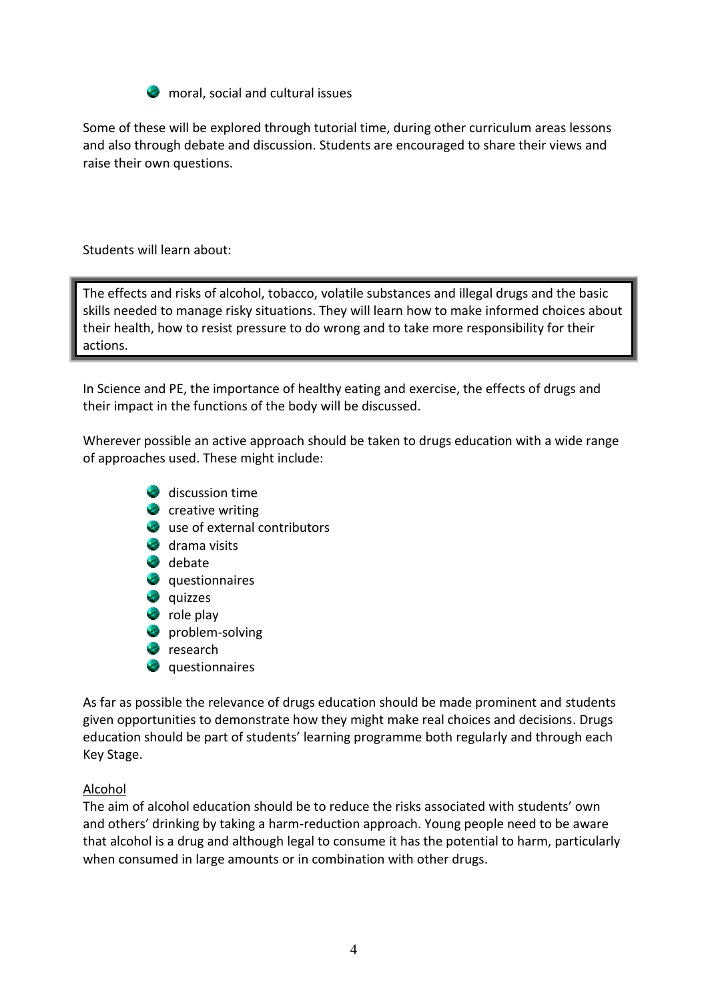

**M** moral, social and cultural issues

Some of these will be explored through tutorial time, during other curriculum areas lessons and also through debate and discussion. Students are encouraged to share their views and raise their own questions.

Students will learn about:

The effects and risks of alcohol, tobacco, volatile substances and illegal drugs and the basic skills needed to manage risky situations. They will learn how to make informed choices about their health, how to resist pressure to do wrong and to take more responsibility for their actions.

In Science and PE, the importance of healthy eating and exercise, the effects of drugs and their impact in the functions of the body will be discussed.

Wherever possible an active approach should be taken to drugs education with a wide range of approaches used. These might include:

- discussion time
- $\bullet$  creative writing
- use of external contributors
- drama visits
- debate
- **Q** questionnaires
- **Quizzes**
- **C** role play
- **problem-solving**
- **P** research
- **Q** questionnaires

As far as possible the relevance of drugs education should be made prominent and students given opportunities to demonstrate how they might make real choices and decisions. Drugs education should be part of students' learning programme both regularly and through each Key Stage.

## Alcohol

The aim of alcohol education should be to reduce the risks associated with students' own and others' drinking by taking a harm-reduction approach. Young people need to be aware that alcohol is a drug and although legal to consume it has the potential to harm, particularly when consumed in large amounts or in combination with other drugs.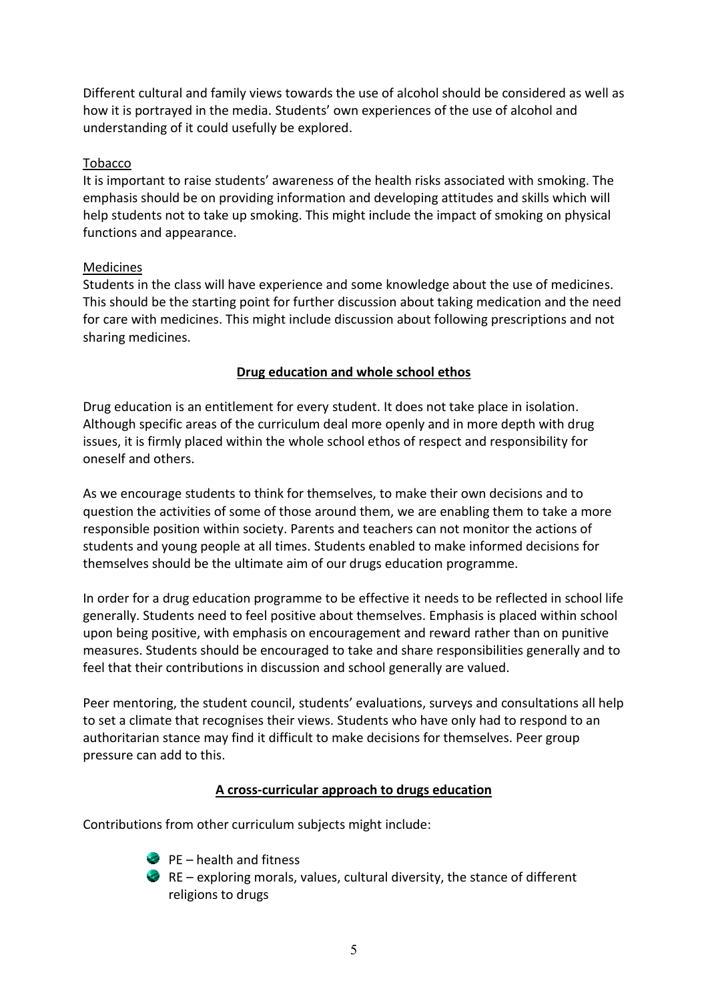Different cultural and family views towards the use of alcohol should be considered as well as how it is portrayed in the media. Students' own experiences of the use of alcohol and understanding of it could usefully be explored.

## Tobacco

It is important to raise students' awareness of the health risks associated with smoking. The emphasis should be on providing information and developing attitudes and skills which will help students not to take up smoking. This might include the impact of smoking on physical functions and appearance.

# Medicines

Students in the class will have experience and some knowledge about the use of medicines. This should be the starting point for further discussion about taking medication and the need for care with medicines. This might include discussion about following prescriptions and not sharing medicines.

# **Drug education and whole school ethos**

Drug education is an entitlement for every student. It does not take place in isolation. Although specific areas of the curriculum deal more openly and in more depth with drug issues, it is firmly placed within the whole school ethos of respect and responsibility for oneself and others.

As we encourage students to think for themselves, to make their own decisions and to question the activities of some of those around them, we are enabling them to take a more responsible position within society. Parents and teachers can not monitor the actions of students and young people at all times. Students enabled to make informed decisions for themselves should be the ultimate aim of our drugs education programme.

In order for a drug education programme to be effective it needs to be reflected in school life generally. Students need to feel positive about themselves. Emphasis is placed within school upon being positive, with emphasis on encouragement and reward rather than on punitive measures. Students should be encouraged to take and share responsibilities generally and to feel that their contributions in discussion and school generally are valued.

Peer mentoring, the student council, students' evaluations, surveys and consultations all help to set a climate that recognises their views. Students who have only had to respond to an authoritarian stance may find it difficult to make decisions for themselves. Peer group pressure can add to this.

# **A cross-curricular approach to drugs education**

Contributions from other curriculum subjects might include:

- $\bullet$  PE health and fitness
- $\bullet$  RE exploring morals, values, cultural diversity, the stance of different religions to drugs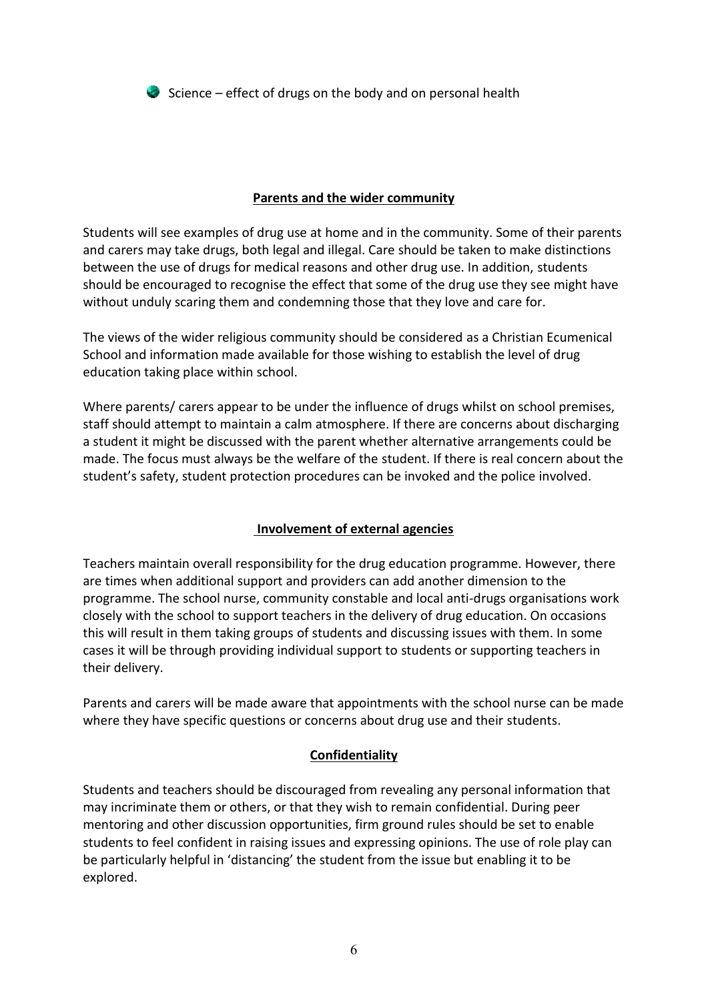$\bullet$  Science – effect of drugs on the body and on personal health

## **Parents and the wider community**

Students will see examples of drug use at home and in the community. Some of their parents and carers may take drugs, both legal and illegal. Care should be taken to make distinctions between the use of drugs for medical reasons and other drug use. In addition, students should be encouraged to recognise the effect that some of the drug use they see might have without unduly scaring them and condemning those that they love and care for.

The views of the wider religious community should be considered as a Christian Ecumenical School and information made available for those wishing to establish the level of drug education taking place within school.

Where parents/ carers appear to be under the influence of drugs whilst on school premises, staff should attempt to maintain a calm atmosphere. If there are concerns about discharging a student it might be discussed with the parent whether alternative arrangements could be made. The focus must always be the welfare of the student. If there is real concern about the student's safety, student protection procedures can be invoked and the police involved.

# **Involvement of external agencies**

Teachers maintain overall responsibility for the drug education programme. However, there are times when additional support and providers can add another dimension to the programme. The school nurse, community constable and local anti-drugs organisations work closely with the school to support teachers in the delivery of drug education. On occasions this will result in them taking groups of students and discussing issues with them. In some cases it will be through providing individual support to students or supporting teachers in their delivery.

Parents and carers will be made aware that appointments with the school nurse can be made where they have specific questions or concerns about drug use and their students.

## **Confidentiality**

Students and teachers should be discouraged from revealing any personal information that may incriminate them or others, or that they wish to remain confidential. During peer mentoring and other discussion opportunities, firm ground rules should be set to enable students to feel confident in raising issues and expressing opinions. The use of role play can be particularly helpful in 'distancing' the student from the issue but enabling it to be explored.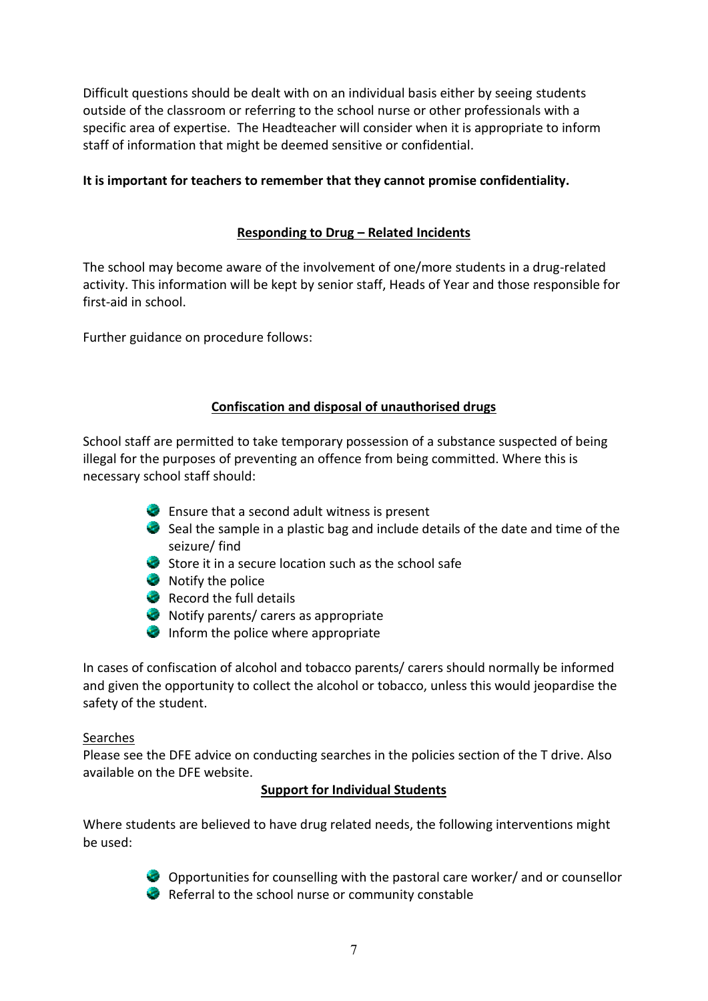Difficult questions should be dealt with on an individual basis either by seeing students outside of the classroom or referring to the school nurse or other professionals with a specific area of expertise. The Headteacher will consider when it is appropriate to inform staff of information that might be deemed sensitive or confidential.

# **It is important for teachers to remember that they cannot promise confidentiality.**

# **Responding to Drug – Related Incidents**

The school may become aware of the involvement of one/more students in a drug-related activity. This information will be kept by senior staff, Heads of Year and those responsible for first-aid in school.

Further guidance on procedure follows:

## **Confiscation and disposal of unauthorised drugs**

School staff are permitted to take temporary possession of a substance suspected of being illegal for the purposes of preventing an offence from being committed. Where this is necessary school staff should:

- Ensure that a second adult witness is present
- $\bullet$  Seal the sample in a plastic bag and include details of the date and time of the seizure/ find
- $\bullet$  Store it in a secure location such as the school safe
- Notify the police
- Record the full details
- Notify parents/ carers as appropriate
- Inform the police where appropriate

In cases of confiscation of alcohol and tobacco parents/ carers should normally be informed and given the opportunity to collect the alcohol or tobacco, unless this would jeopardise the safety of the student.

#### Searches

Please see the DFE advice on conducting searches in the policies section of the T drive. Also available on the DFE website.

## **Support for Individual Students**

Where students are believed to have drug related needs, the following interventions might be used:



Opportunities for counselling with the pastoral care worker/ and or counsellor Referral to the school nurse or community constable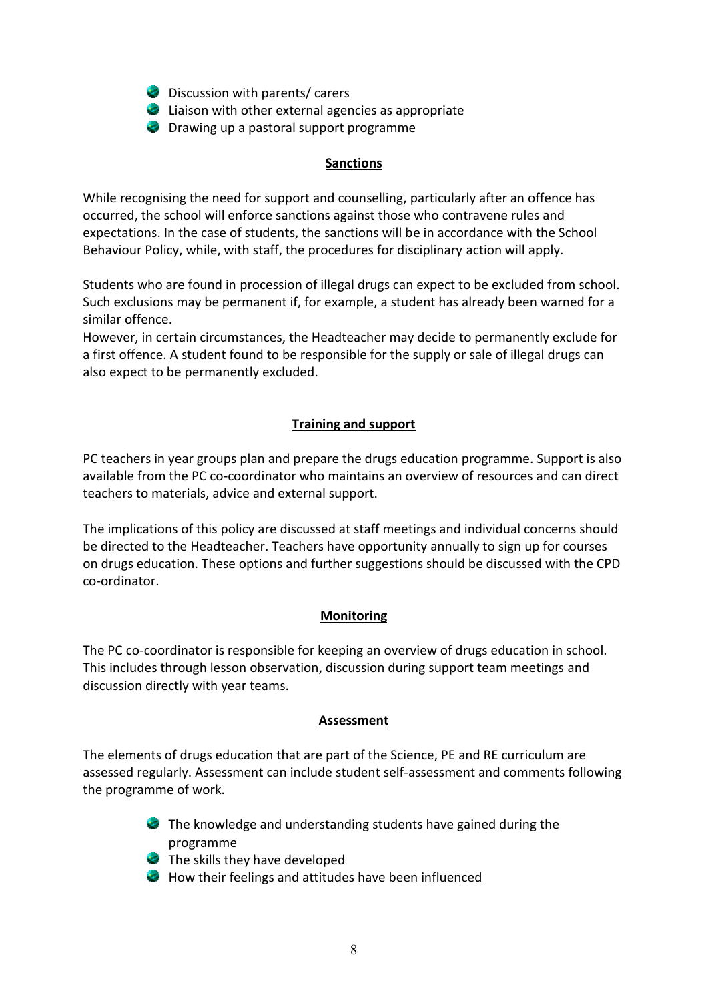- **Discussion with parents/ carers**
- Liaison with other external agencies as appropriate
- **Drawing up a pastoral support programme**

#### **Sanctions**

While recognising the need for support and counselling, particularly after an offence has occurred, the school will enforce sanctions against those who contravene rules and expectations. In the case of students, the sanctions will be in accordance with the School Behaviour Policy, while, with staff, the procedures for disciplinary action will apply.

Students who are found in procession of illegal drugs can expect to be excluded from school. Such exclusions may be permanent if, for example, a student has already been warned for a similar offence.

However, in certain circumstances, the Headteacher may decide to permanently exclude for a first offence. A student found to be responsible for the supply or sale of illegal drugs can also expect to be permanently excluded.

# **Training and support**

PC teachers in year groups plan and prepare the drugs education programme. Support is also available from the PC co-coordinator who maintains an overview of resources and can direct teachers to materials, advice and external support.

The implications of this policy are discussed at staff meetings and individual concerns should be directed to the Headteacher. Teachers have opportunity annually to sign up for courses on drugs education. These options and further suggestions should be discussed with the CPD co-ordinator.

## **Monitoring**

The PC co-coordinator is responsible for keeping an overview of drugs education in school. This includes through lesson observation, discussion during support team meetings and discussion directly with year teams.

#### **Assessment**

The elements of drugs education that are part of the Science, PE and RE curriculum are assessed regularly. Assessment can include student self-assessment and comments following the programme of work.

- The knowledge and understanding students have gained during the programme
- The skills they have developed
- How their feelings and attitudes have been influenced